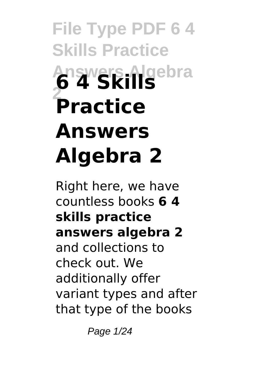# **File Type PDF 6 4 Skills Practice Answers Algebra 6 4 Skills 2 Practice Answers Algebra 2**

Right here, we have countless books **6 4 skills practice answers algebra 2** and collections to check out. We additionally offer variant types and after that type of the books

Page 1/24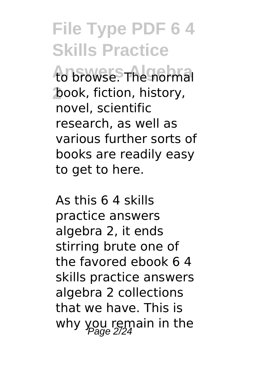# **File Type PDF 6 4 Skills Practice**

to browse. The normal **2** book, fiction, history, novel, scientific research, as well as various further sorts of books are readily easy to get to here.

As this 6 4 skills practice answers algebra 2, it ends stirring brute one of the favored ebook 6 4 skills practice answers algebra 2 collections that we have. This is why you remain in the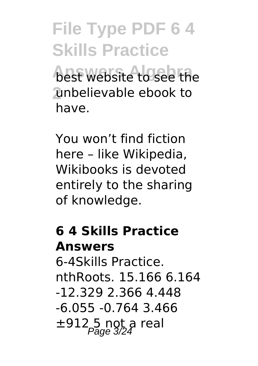**File Type PDF 6 4 Skills Practice** best website to see the **2** unbelievable ebook to have.

You won't find fiction here – like Wikipedia, Wikibooks is devoted entirely to the sharing of knowledge.

## **6 4 Skills Practice Answers**

6-4Skills Practice. nthRoots. 15.166 6.164 -12.329 2.366 4.448 -6.055 -0.764 3.466  $\pm 912.5$  ngt a real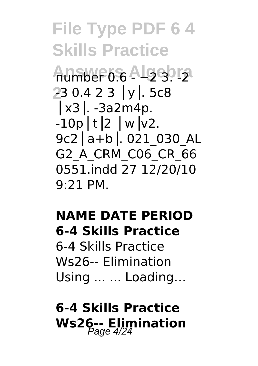**File Type PDF 6 4 Skills Practice Answers Algebra** number 0.6 - −2 3. -2 **2** -3 0.4 2 3 ⎪y⎥. 5c8 ⎪x3⎥. -3a2m4p.  $-10p$  |t|2 |w|v2. 9c2⎪a+b⎥. 021\_030\_AL G2\_A\_CRM\_C06\_CR\_66 0551.indd 27 12/20/10 9:21 PM.

#### **NAME DATE PERIOD 6-4 Skills Practice**

6-4 Skills Practice Ws26-- Elimination Using ... ... Loading…

## **6-4 Skills Practice** Ws26-- Elimination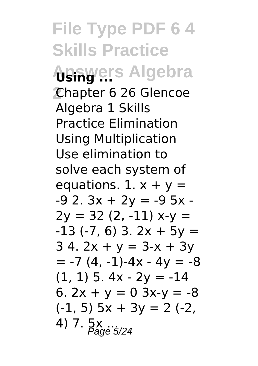**File Type PDF 6 4 Skills Practice Answers Algebra 2** Chapter 6 26 Glencoe Algebra 1 Skills Practice Elimination Using Multiplication Use elimination to solve each system of equations. 1.  $x + y =$  $-9$  2.  $3x + 2y = -9$  5x - $2y = 32(2, -11) x-y =$  $-13$  ( $-7$ , 6) 3, 2x + 5y =  $34.2x + y = 3-x + 3y$  $= -7 (4, -1) - 4x - 4y = -8$  $(1, 1)$  5. 4x - 2y = -14 6.  $2x + y = 0$   $3x-y = -8$  $(-1, 5)$  5x + 3y = 2 (-2,  $(4)$  7.  $5x$   $\frac{1}{2}$   $\frac{1}{2}$   $\frac{1}{2}$   $\frac{1}{2}$   $\frac{1}{2}$   $\frac{1}{2}$   $\frac{1}{2}$   $\frac{1}{2}$   $\frac{1}{2}$   $\frac{1}{2}$   $\frac{1}{2}$   $\frac{1}{2}$   $\frac{1}{2}$   $\frac{1}{2}$   $\frac{1}{2}$   $\frac{1}{2}$   $\frac{1}{2}$   $\frac{1}{2}$   $\frac{1}{2}$   $\frac{1}{2}$   $\frac{1}{2$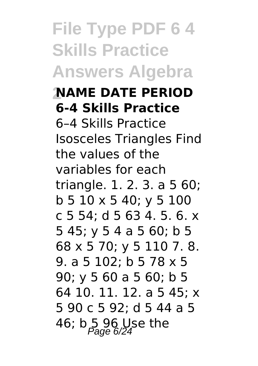**File Type PDF 6 4 Skills Practice Answers Algebra 2NAME DATE PERIOD 6-4 Skills Practice** 6–4 Skills Practice Isosceles Triangles Find the values of the variables for each triangle. 1. 2. 3. a 5 60; b 5 10 x 5 40; y 5 100 c 5 54; d 5 63 4. 5. 6. x 5 45; y 5 4 a 5 60; b 5 68 x 5 70; y 5 110 7. 8. 9. a 5 102; b 5 78 x 5 90; y 5 60 a 5 60; b 5 64 10. 11. 12. a 5 45; x 5 90 c 5 92; d 5 44 a 5 46; b 5 96 Use the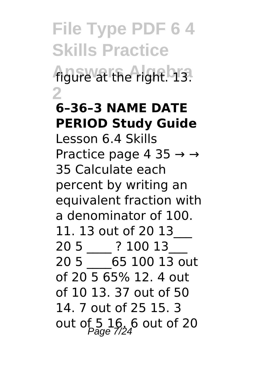**File Type PDF 6 4 Skills Practice Answers Algebra** figure at the right. 13. **2**

### **6–36–3 NAME DATE PERIOD Study Guide**

Lesson 6.4 Skills Practice page 4 35  $\rightarrow \rightarrow$ 35 Calculate each percent by writing an equivalent fraction with a denominator of 100. 11. 13 out of 20 13\_\_\_ 20 5  $\overline{)}$  ? 100 13 20 5 \_\_\_\_65 100 13 out of 20 5 65% 12. 4 out of 10 13. 37 out of 50 14. 7 out of 25 15. 3 out of  $5\frac{16}{Page}$  6 out of 20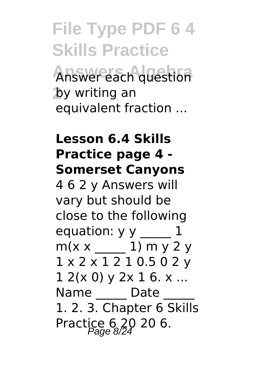# **File Type PDF 6 4 Skills Practice** Answer each question **2** by writing an equivalent fraction ...

#### **Lesson 6.4 Skills Practice page 4 - Somerset Canyons**

4 6 2 y Answers will vary but should be close to the following equation:  $y \ y$   $1$  $m(x \times 1) m y 2 y$ 1 x 2 x 1 2 1 0.5 0 2 y  $12(x 0)$  v  $2x 16$ . x ... Name Date 1. 2. 3. Chapter 6 Skills Practice 6, 20 20 6.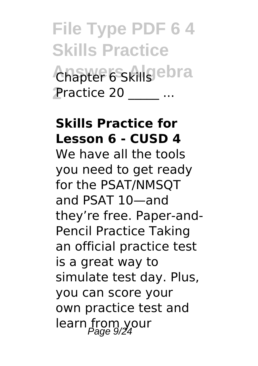**File Type PDF 6 4 Skills Practice Answers Algebra** Chapter 6 Skills **2** Practice 20 \_\_\_\_\_ ...

#### **Skills Practice for Lesson 6 - CUSD 4**

We have all the tools you need to get ready for the PSAT/NMSQT and PSAT 10—and they're free. Paper-and-Pencil Practice Taking an official practice test is a great way to simulate test day. Plus, you can score your own practice test and learn from your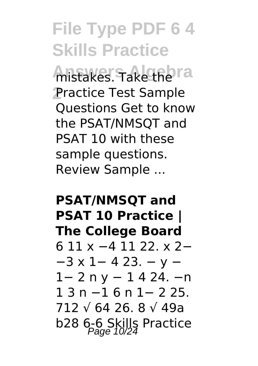# **File Type PDF 6 4 Skills Practice**

**Anstakes. Take the ra 2** Practice Test Sample Questions Get to know the PSAT/NMSQT and PSAT 10 with these sample questions. Review Sample ...

### **PSAT/NMSQT and PSAT 10 Practice | The College Board** 6 11 x −4 11 22. x 2− −3 x 1− 4 23. − y − 1− 2 n y − 1 4 24. −n 1 3 n −1 6 n 1− 2 25. 712 √ 64 26. 8 √ 49a b28 6-6 Skills Practice<br>Page 10/24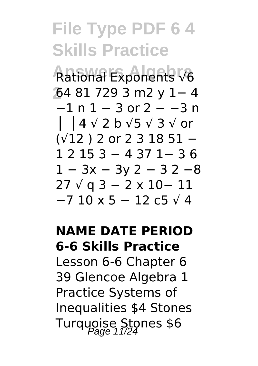## **File Type PDF 6 4 Skills Practice Answers Algebra** Rational Exponents √6 **2** 64 81 729 3 m2 y 1− 4 −1 n 1 − 3 or 2 − −3 n ⎪ ⎥ 4 √ 2 b √5 √ 3 √ or (√12 ) 2 or 2 3 18 51 − 1 2 15 3 − 4 37 1− 3 6 1 − 3x − 3y 2 − 3 2 −8 27 √ q 3 − 2 x 10− 11 −7 10 x 5 − 12 c5 √ 4

#### **NAME DATE PERIOD 6-6 Skills Practice**

Lesson 6-6 Chapter 6 39 Glencoe Algebra 1 Practice Systems of Inequalities \$4 Stones Turquoise Stones \$6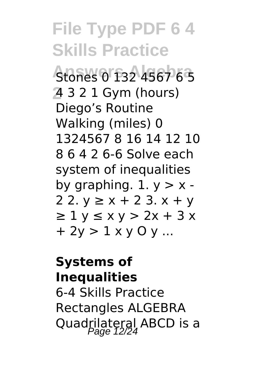**File Type PDF 6 4 Skills Practice Answers Algebra** Stones 0 132 4567 6 5 **2** 4 3 2 1 Gym (hours) Diego's Routine Walking (miles) 0 1324567 8 16 14 12 10 8 6 4 2 6-6 Solve each system of inequalities by graphing.  $1. y > x -$ 2 2.  $y$  ≥  $x$  + 2 3.  $x$  +  $y$  $\geq 1$  y  $\leq x$  y  $> 2x + 3x$  $+ 2v > 1 x v 0 v ...$ 

#### **Systems of Inequalities**

6-4 Skills Practice Rectangles ALGEBRA Quadrilateral ABCD is a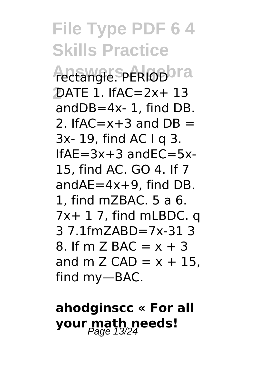## **File Type PDF 6 4 Skills Practice** Actangle. PERIOD or a **2** DATE 1. IfAC=2x+ 13 andDB=4x- 1, find DB. 2. If  $AC = x + 3$  and  $DR =$ 3x- 19, find AC I q 3.  $If AF = 3x + 3$  and  $FC = 5x$ -15, find AC. GO 4. If 7 andAE=4x+9, find DB. 1, find mZBAC. 5 a 6. 7x+ 1 7, find mLBDC. q 3 7.1fmZABD=7x-31 3 8. If m  $\overline{7}$  BAC =  $x + 3$ and m Z CAD =  $x + 15$ , find my—BAC.

## **ahodginscc « For all your math needs!**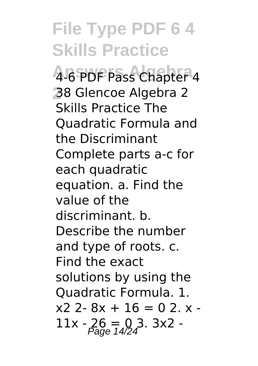**File Type PDF 6 4 Skills Practice Answers Algebra** 4-6 PDF Pass Chapter 4 **2** 38 Glencoe Algebra 2 Skills Practice The Quadratic Formula and the Discriminant Complete parts a-c for each quadratic equation. a. Find the value of the discriminant. b. Describe the number and type of roots. c. Find the exact solutions by using the Quadratic Formula. 1.  $x2$  2-  $8x + 16 = 0$  2.  $x 11x - 26 = 0.3$ . 3x2 -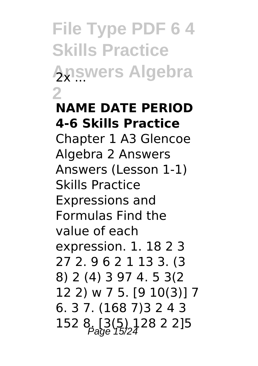**File Type PDF 6 4 Skills Practice Answers Algebra 2**

## **NAME DATE PERIOD 4-6 Skills Practice**

Chapter 1 A3 Glencoe Algebra 2 Answers Answers (Lesson 1-1) Skills Practice Expressions and Formulas Find the value of each expression. 1. 18 2 3 27 2. 9 6 2 1 13 3. (3 8) 2 (4) 3 97 4. 5 3(2 12 2) w 7 5. [9 10(3)] 7 6. 3 7. (168 7)3 2 4 3 152 8, [3(5) 128 2 2]5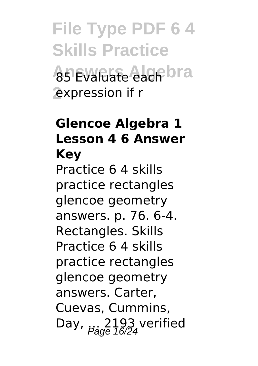**File Type PDF 6 4 Skills Practice A5 Evaluate each bra 2** expression if r

#### **Glencoe Algebra 1 Lesson 4 6 Answer Key**

Practice 6 4 skills practice rectangles glencoe geometry answers. p. 76. 6-4. Rectangles. Skills Practice 6 4 skills practice rectangles glencoe geometry answers. Carter, Cuevas, Cummins, Day,  $\frac{2193}{16/24}$  verified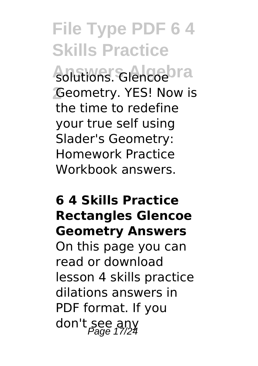# **File Type PDF 6 4 Skills Practice**

solutions. Glencoebra **2** Geometry. YES! Now is the time to redefine your true self using Slader's Geometry: Homework Practice Workbook answers.

#### **6 4 Skills Practice Rectangles Glencoe Geometry Answers**

On this page you can read or download lesson 4 skills practice dilations answers in PDF format. If you don't see any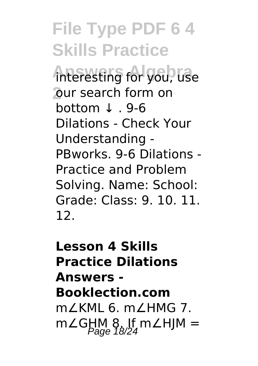**File Type PDF 6 4 Skills Practice Answers Algebra** interesting for you, use **2** our search form on bottom ↓ . 9-6 Dilations - Check Your Understanding - PBworks. 9-6 Dilations - Practice and Problem Solving. Name: School: Grade: Class: 9. 10. 11. 12.

**Lesson 4 Skills Practice Dilations Answers - Booklection.com** m∠KML 6. m∠HMG 7. m∠GHM 8. If m∠HJM =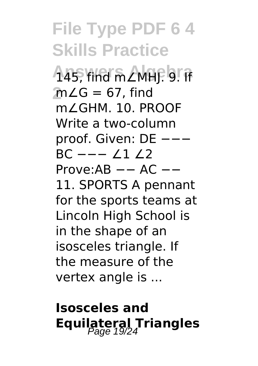**File Type PDF 6 4 Skills Practice Answers Algebra** 145, find m∠MHJ. 9. If **2** m∠G = 67, find m∠GHM. 10. PROOF Write a two-column proof. Given: DE ---BC −−− ∠1 ∠2 Prove:AB −− AC −− 11. SPORTS A pennant for the sports teams at Lincoln High School is in the shape of an isosceles triangle. If the measure of the vertex angle is ...

## **Isosceles and Equilateral Triangles**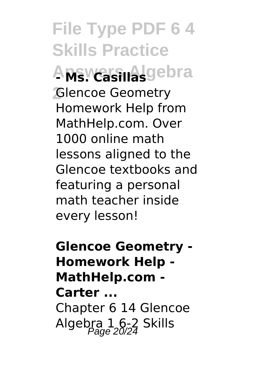**File Type PDF 6 4 Skills Practice Answers Algebra - Ms. Casillas 2** Glencoe Geometry Homework Help from MathHelp.com. Over 1000 online math lessons aligned to the Glencoe textbooks and featuring a personal math teacher inside every lesson!

**Glencoe Geometry - Homework Help - MathHelp.com - Carter ...** Chapter 6 14 Glencoe Algebra 1, 6-2 Skills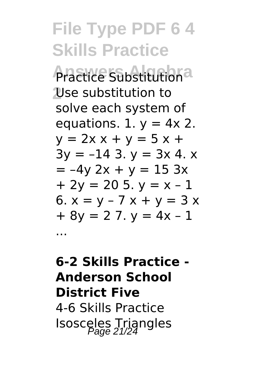**File Type PDF 6 4 Skills Practice** *<u>Aractice Substitutiona</u>* **2** Use substitution to solve each system of equations. 1.  $y = 4x$  2.  $y = 2x + y = 5x +$  $3y = -143. y = 3x 4. x$  $= -4y 2x + y = 15 3x$  $+ 2v = 205$ .  $v = x - 1$ 6.  $x = y - 7x + y = 3x$  $+ 8v = 27$ .  $v = 4x - 1$ ...

## **6-2 Skills Practice - Anderson School District Five** 4-6 Skills Practice Isosceles Triangles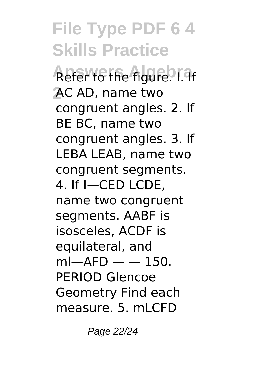**File Type PDF 6 4 Skills Practice Refer to the figure.** I. 9 **2** AC AD, name two congruent angles. 2. If BE BC, name two congruent angles. 3. If LEBA LEAB, name two congruent segments. 4. If I—CED LCDE, name two congruent segments. AABF is isosceles, ACDF is equilateral, and  $ml—AFD — - 150.$ PERIOD Glencoe Geometry Find each measure. 5. mLCFD

Page 22/24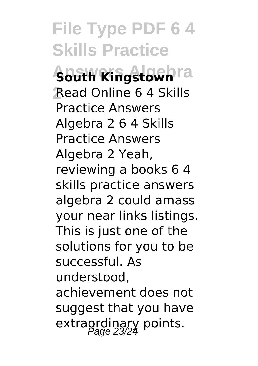**File Type PDF 6 4 Skills Practice Abath Ringstown**ra **2** Read Online 6 4 Skills Practice Answers Algebra 2 6 4 Skills Practice Answers Algebra 2 Yeah, reviewing a books 6 4 skills practice answers algebra 2 could amass your near links listings. This is just one of the solutions for you to be successful. As understood, achievement does not suggest that you have extraordinary points.